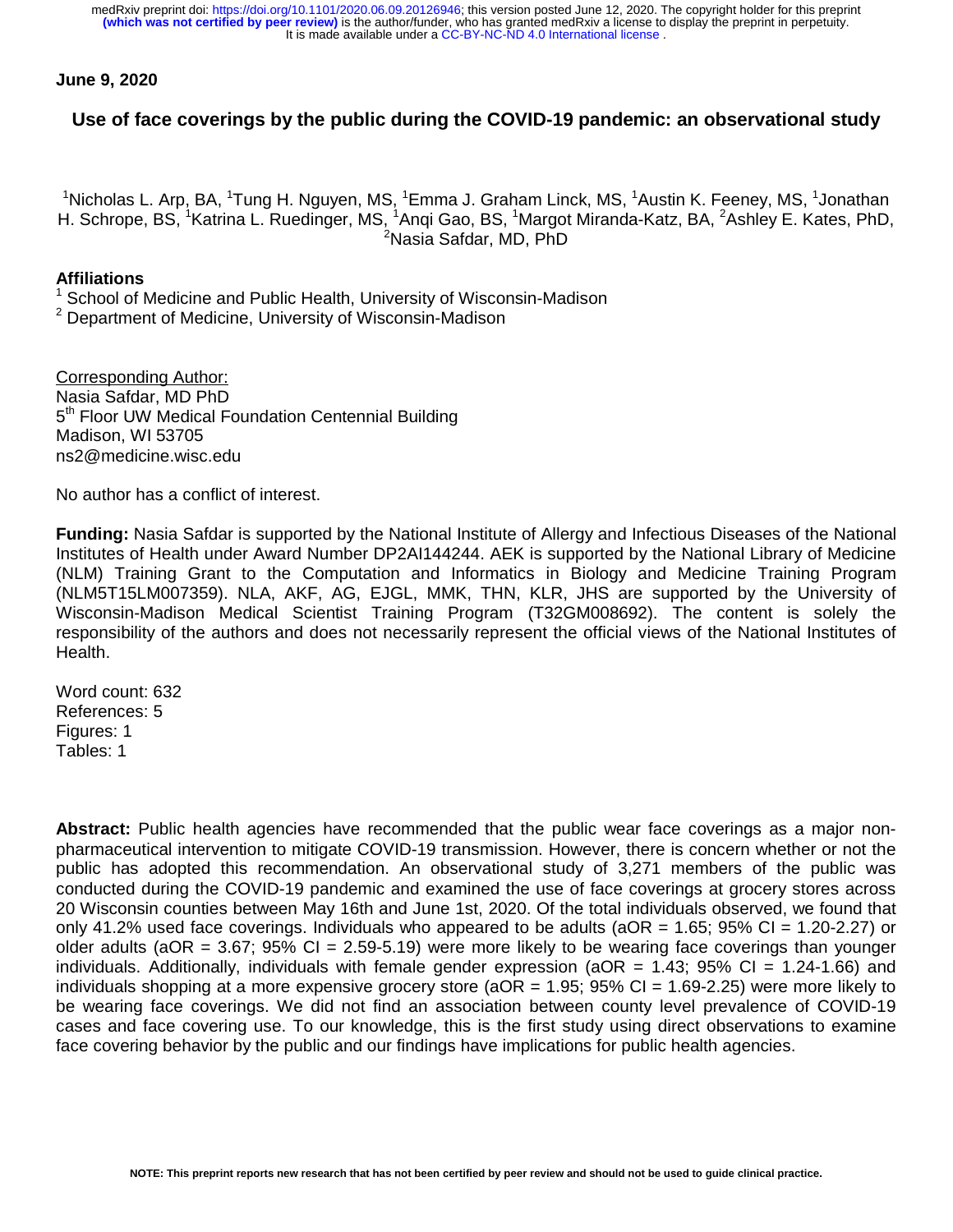It is made available under a [CC-BY-NC-ND 4.0 International license](http://creativecommons.org/licenses/by-nc-nd/4.0/) . **(which was not certified by peer review)** is the author/funder, who has granted medRxiv a license to display the preprint in perpetuity. medRxiv preprint doi: [https://doi.org/10.1101/2020.06.09.20126946;](https://doi.org/10.1101/2020.06.09.20126946) this version posted June 12, 2020. The copyright holder for this preprint

## **June 9, 2020**

## **Use of face coverings by the public during the COVID-19 pandemic: an observational study**

<sup>1</sup>Nicholas L. Arp, BA, <sup>1</sup>Tung H. Nguyen, MS, <sup>1</sup>Emma J. Graham Linck, MS, <sup>1</sup>Austin K. Feeney, MS, <sup>1</sup>Jonathan H. Schrope, BS, <sup>1</sup>Katrina L. Ruedinger, MS, <sup>1</sup>Anqi Gao, BS, <sup>1</sup>Margot Miranda-Katz, BA, <sup>2</sup>Ashley E. Kates, PhD, <sup>2</sup>Nasia Safdar, MD, PhD

## **Affiliations**

1 School of Medicine and Public Health, University of Wisconsin-Madison

<sup>2</sup> Department of Medicine, University of Wisconsin-Madison

Corresponding Author: Nasia Safdar, MD PhD 5<sup>th</sup> Floor UW Medical Foundation Centennial Building Madison, WI 53705 ns2@medicine.wisc.edu

No author has a conflict of interest.

**Funding:** Nasia Safdar is supported by the National Institute of Allergy and Infectious Diseases of the National Institutes of Health under Award Number DP2AI144244. AEK is supported by the National Library of Medicine (NLM) Training Grant to the Computation and Informatics in Biology and Medicine Training Program (NLM5T15LM007359). NLA, AKF, AG, EJGL, MMK, THN, KLR, JHS are supported by the University of Wisconsin-Madison Medical Scientist Training Program (T32GM008692). The content is solely the responsibility of the authors and does not necessarily represent the official views of the National Institutes of Health.

Word count: 632 References: 5 Figures: 1 Tables: 1

**Abstract:** Public health agencies have recommended that the public wear face coverings as a major nonpharmaceutical intervention to mitigate COVID-19 transmission. However, there is concern whether or not the public has adopted this recommendation. An observational study of 3,271 members of the public was conducted during the COVID-19 pandemic and examined the use of face coverings at grocery stores across 20 Wisconsin counties between May 16th and June 1st, 2020. Of the total individuals observed, we found that only 41.2% used face coverings. Individuals who appeared to be adults ( $aOR = 1.65$ ; 95% CI = 1.20-2.27) or older adults (aOR =  $3.67$ ; 95% CI =  $2.59-5.19$ ) were more likely to be wearing face coverings than younger individuals. Additionally, individuals with female gender expression ( $aOR = 1.43$ ; 95% CI = 1.24-1.66) and individuals shopping at a more expensive grocery store ( $aOR = 1.95$ ; 95% CI = 1.69-2.25) were more likely to be wearing face coverings. We did not find an association between county level prevalence of COVID-19 cases and face covering use. To our knowledge, this is the first study using direct observations to examine face covering behavior by the public and our findings have implications for public health agencies.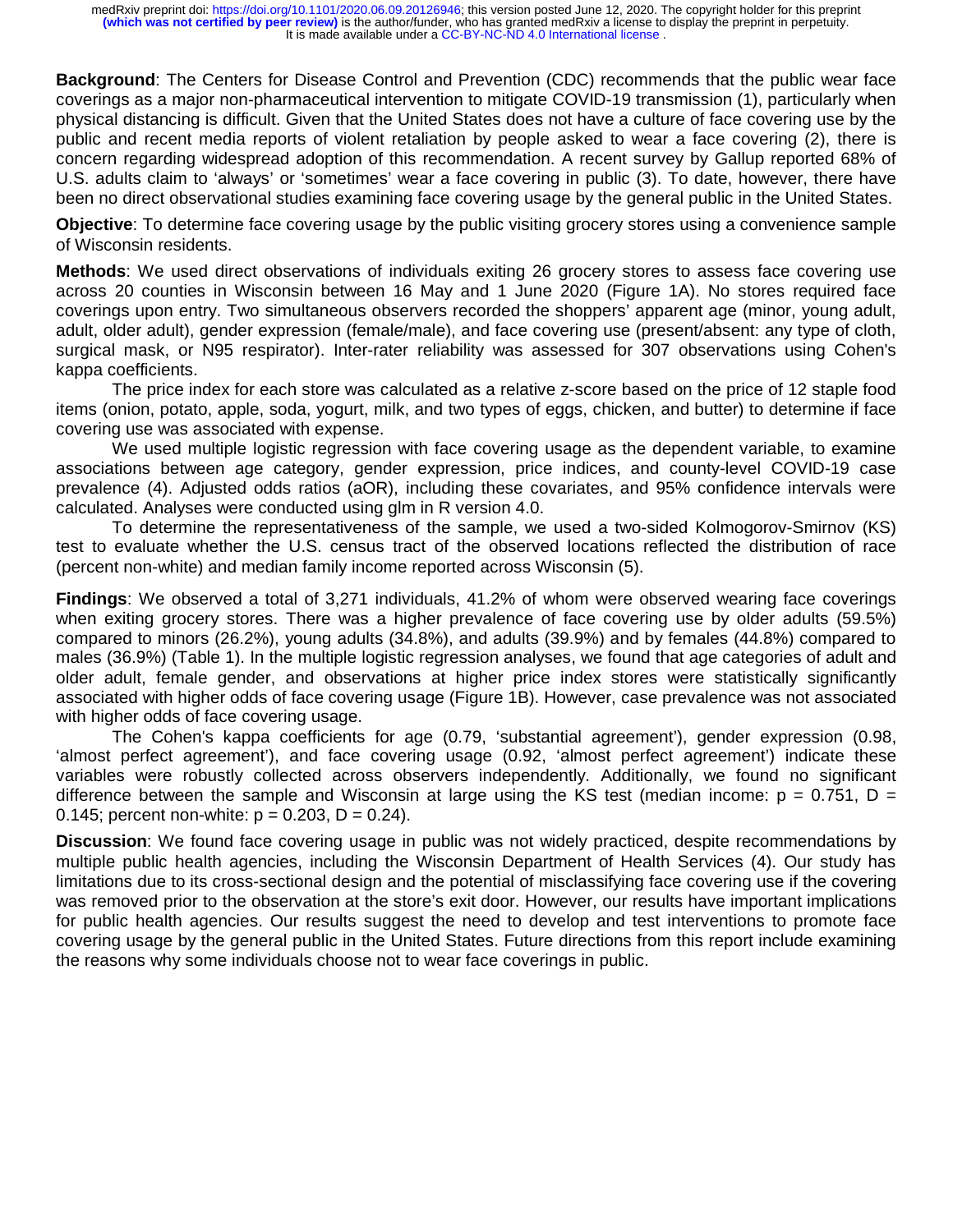**Background**: The Centers for Disease Control and Prevention (CDC) recommends that the public wear face coverings as a major non-pharmaceutical intervention to mitigate COVID-19 transmission (1), particularly when physical distancing is difficult. Given that the United States does not have a culture of face covering use by the public and recent media reports of violent retaliation by people asked to wear a face covering (2), there is concern regarding widespread adoption of this recommendation. A recent survey by Gallup reported 68% of U.S. adults claim to 'always' or 'sometimes' wear a face covering in public (3). To date, however, there have been no direct observational studies examining face covering usage by the general public in the United States.

**Objective**: To determine face covering usage by the public visiting grocery stores using a convenience sample of Wisconsin residents.

**Methods**: We used direct observations of individuals exiting 26 grocery stores to assess face covering use across 20 counties in Wisconsin between 16 May and 1 June 2020 (Figure 1A). No stores required face coverings upon entry. Two simultaneous observers recorded the shoppers' apparent age (minor, young adult, adult, older adult), gender expression (female/male), and face covering use (present/absent: any type of cloth, surgical mask, or N95 respirator). Inter-rater reliability was assessed for 307 observations using Cohen's kappa coefficients.

 The price index for each store was calculated as a relative z-score based on the price of 12 staple food items (onion, potato, apple, soda, yogurt, milk, and two types of eggs, chicken, and butter) to determine if face covering use was associated with expense.

We used multiple logistic regression with face covering usage as the dependent variable, to examine associations between age category, gender expression, price indices, and county-level COVID-19 case prevalence (4). Adjusted odds ratios (aOR), including these covariates, and 95% confidence intervals were calculated. Analyses were conducted using glm in R version 4.0.

 To determine the representativeness of the sample, we used a two-sided Kolmogorov-Smirnov (KS) test to evaluate whether the U.S. census tract of the observed locations reflected the distribution of race (percent non-white) and median family income reported across Wisconsin (5).

**Findings**: We observed a total of 3,271 individuals, 41.2% of whom were observed wearing face coverings when exiting grocery stores. There was a higher prevalence of face covering use by older adults (59.5%) compared to minors (26.2%), young adults (34.8%), and adults (39.9%) and by females (44.8%) compared to males (36.9%) (Table 1). In the multiple logistic regression analyses, we found that age categories of adult and older adult, female gender, and observations at higher price index stores were statistically significantly associated with higher odds of face covering usage (Figure 1B). However, case prevalence was not associated with higher odds of face covering usage.

 The Cohen's kappa coefficients for age (0.79, 'substantial agreement'), gender expression (0.98, 'almost perfect agreement'), and face covering usage (0.92, 'almost perfect agreement') indicate these variables were robustly collected across observers independently. Additionally, we found no significant difference between the sample and Wisconsin at large using the KS test (median income:  $p = 0.751$ ,  $D =$ 0.145; percent non-white:  $p = 0.203$ ,  $D = 0.24$ ).

**Discussion**: We found face covering usage in public was not widely practiced, despite recommendations by multiple public health agencies, including the Wisconsin Department of Health Services (4). Our study has limitations due to its cross-sectional design and the potential of misclassifying face covering use if the covering was removed prior to the observation at the store's exit door. However, our results have important implications for public health agencies. Our results suggest the need to develop and test interventions to promote face covering usage by the general public in the United States. Future directions from this report include examining the reasons why some individuals choose not to wear face coverings in public.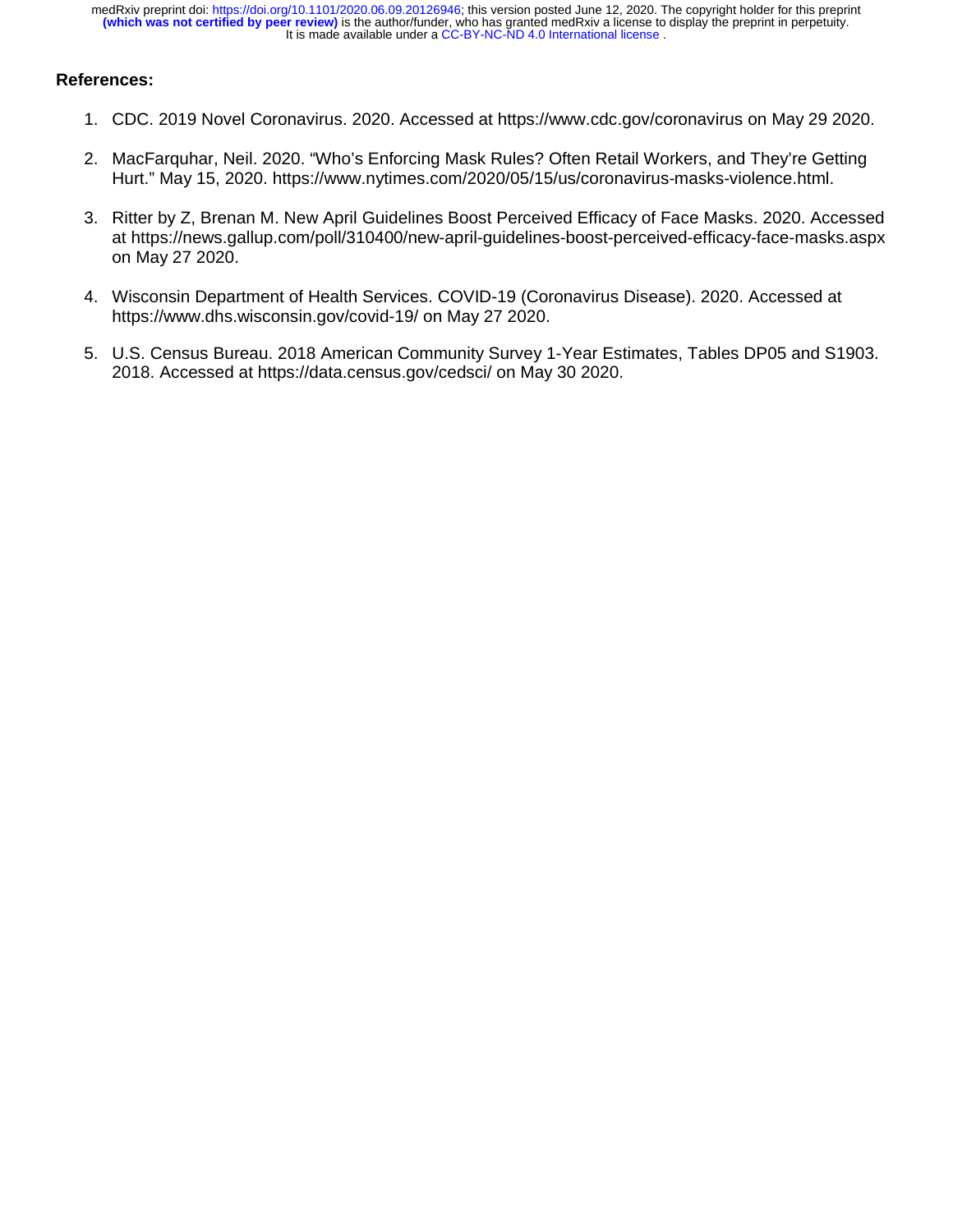## **References:**

- 1. CDC. 2019 Novel Coronavirus. 2020. Accessed at https://www.cdc.gov/coronavirus on May 29 2020.
- 2. MacFarquhar, Neil. 2020. "Who's Enforcing Mask Rules? Often Retail Workers, and They're Getting Hurt." May 15, 2020. https://www.nytimes.com/2020/05/15/us/coronavirus-masks-violence.html.
- 3. Ritter by Z, Brenan M. New April Guidelines Boost Perceived Efficacy of Face Masks. 2020. Accessed at https://news.gallup.com/poll/310400/new-april-guidelines-boost-perceived-efficacy-face-masks.aspx on May 27 2020.
- 4. Wisconsin Department of Health Services. COVID-19 (Coronavirus Disease). 2020. Accessed at https://www.dhs.wisconsin.gov/covid-19/ on May 27 2020.
- 5. U.S. Census Bureau. 2018 American Community Survey 1-Year Estimates, Tables DP05 and S1903. 2018. Accessed at https://data.census.gov/cedsci/ on May 30 2020.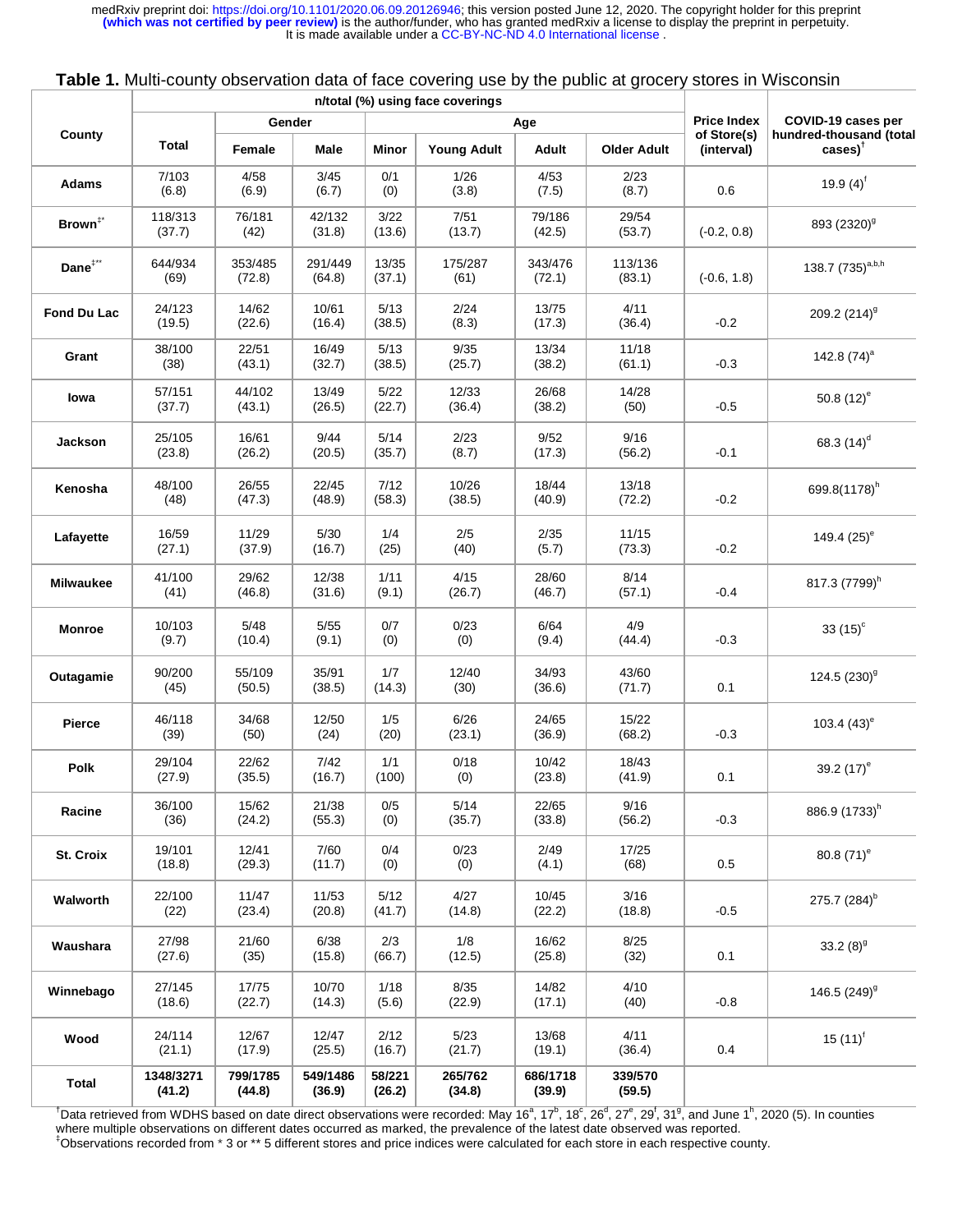|                     |                     |                    |                    |                  | n/total (%) using face coverings |                    |                    |                           |                                                  |
|---------------------|---------------------|--------------------|--------------------|------------------|----------------------------------|--------------------|--------------------|---------------------------|--------------------------------------------------|
| County              | Gender<br>Age       |                    |                    |                  |                                  |                    |                    | <b>Price Index</b>        | COVID-19 cases per                               |
|                     | <b>Total</b>        | Female             | Male               | Minor            | <b>Young Adult</b>               | Adult              | <b>Older Adult</b> | of Store(s)<br>(interval) | hundred-thousand (total<br>$\cases$ <sup>+</sup> |
| <b>Adams</b>        | 7/103<br>(6.8)      | 4/58<br>(6.9)      | 3/45<br>(6.7)      | 0/1<br>(0)       | 1/26<br>(3.8)                    | 4/53<br>(7.5)      | 2/23<br>(8.7)      | 0.6                       | 19.9 $(4)^f$                                     |
| Brown <sup>#*</sup> | 118/313<br>(37.7)   | 76/181<br>(42)     | 42/132<br>(31.8)   | 3/22<br>(13.6)   | 7/51<br>(13.7)                   | 79/186<br>(42.5)   | 29/54<br>(53.7)    | $(-0.2, 0.8)$             | 893 (2320) <sup>9</sup>                          |
| Dane <sup>#**</sup> | 644/934<br>(69)     | 353/485<br>(72.8)  | 291/449<br>(64.8)  | 13/35<br>(37.1)  | 175/287<br>(61)                  | 343/476<br>(72.1)  | 113/136<br>(83.1)  | $(-0.6, 1.8)$             | 138.7 (735) <sup>a,b,h</sup>                     |
| Fond Du Lac         | 24/123<br>(19.5)    | 14/62<br>(22.6)    | 10/61<br>(16.4)    | 5/13<br>(38.5)   | 2/24<br>(8.3)                    | 13/75<br>(17.3)    | 4/11<br>(36.4)     | $-0.2$                    | 209.2 $(214)^9$                                  |
| Grant               | 38/100<br>(38)      | 22/51<br>(43.1)    | 16/49<br>(32.7)    | 5/13<br>(38.5)   | 9/35<br>(25.7)                   | 13/34<br>(38.2)    | 11/18<br>(61.1)    | $-0.3$                    | 142.8 $(74)^a$                                   |
| lowa                | 57/151<br>(37.7)    | 44/102<br>(43.1)   | 13/49<br>(26.5)    | $5/22$<br>(22.7) | 12/33<br>(36.4)                  | 26/68<br>(38.2)    | 14/28<br>(50)      | $-0.5$                    | 50.8 $(12)^e$                                    |
| Jackson             | 25/105<br>(23.8)    | 16/61<br>(26.2)    | 9/44<br>(20.5)     | 5/14<br>(35.7)   | 2/23<br>(8.7)                    | 9/52<br>(17.3)     | 9/16<br>(56.2)     | $-0.1$                    | 68.3 $(14)^d$                                    |
| Kenosha             | 48/100<br>(48)      | 26/55<br>(47.3)    | 22/45<br>(48.9)    | 7/12<br>(58.3)   | 10/26<br>(38.5)                  | 18/44<br>(40.9)    | 13/18<br>(72.2)    | $-0.2$                    | 699.8(1178) <sup>h</sup>                         |
| Lafayette           | 16/59<br>(27.1)     | 11/29<br>(37.9)    | $5/30$<br>(16.7)   | 1/4<br>(25)      | 2/5<br>(40)                      | 2/35<br>(5.7)      | 11/15<br>(73.3)    | $-0.2$                    | 149.4 $(25)^e$                                   |
| <b>Milwaukee</b>    | 41/100<br>(41)      | 29/62<br>(46.8)    | 12/38<br>(31.6)    | 1/11<br>(9.1)    | 4/15<br>(26.7)                   | 28/60<br>(46.7)    | 8/14<br>(57.1)     | $-0.4$                    | 817.3 (7799) <sup>h</sup>                        |
| <b>Monroe</b>       | 10/103<br>(9.7)     | 5/48<br>(10.4)     | $5/55$<br>(9.1)    | 0/7<br>(0)       | 0/23<br>(0)                      | 6/64<br>(9.4)      | 4/9<br>(44.4)      | $-0.3$                    | 33 $(15)^c$                                      |
| Outagamie           | 90/200<br>(45)      | 55/109<br>(50.5)   | 35/91<br>(38.5)    | 1/7<br>(14.3)    | 12/40<br>(30)                    | 34/93<br>(36.6)    | 43/60<br>(71.7)    | 0.1                       | 124.5 $(230)^9$                                  |
| <b>Pierce</b>       | 46/118<br>(39)      | 34/68<br>(50)      | 12/50<br>(24)      | 1/5<br>(20)      | 6/26<br>(23.1)                   | 24/65<br>(36.9)    | 15/22<br>(68.2)    | $-0.3$                    | 103.4 $(43)$ <sup>e</sup>                        |
| Polk                | 29/104<br>(27.9)    | 22/62<br>(35.5)    | 7/42<br>(16.7)     | 1/1<br>(100)     | 0/18<br>(0)                      | 10/42<br>(23.8)    | 18/43<br>(41.9)    | 0.1                       | 39.2 $(17)^e$                                    |
| Racine              | 36/100<br>(36)      | 15/62<br>(24.2)    | 21/38<br>(55.3)    | 0/5<br>(0)       | 5/14<br>(35.7)                   | 22/65<br>(33.8)    | 9/16<br>(56.2)     | $-0.3$                    | 886.9 (1733) <sup>h</sup>                        |
| St. Croix           | 19/101<br>(18.8)    | 12/41<br>(29.3)    | 7/60<br>(11.7)     | 0/4<br>(0)       | 0/23<br>(0)                      | 2/49<br>(4.1)      | 17/25<br>(68)      | 0.5                       | 80.8 $(71)$ <sup>e</sup>                         |
| Walworth            | 22/100<br>(22)      | 11/47<br>(23.4)    | 11/53<br>(20.8)    | 5/12<br>(41.7)   | 4/27<br>(14.8)                   | 10/45<br>(22.2)    | 3/16<br>(18.8)     | $-0.5$                    | 275.7 (284) <sup>b</sup>                         |
| Waushara            | 27/98<br>(27.6)     | 21/60<br>(35)      | 6/38<br>(15.8)     | 2/3<br>(66.7)    | 1/8<br>(12.5)                    | 16/62<br>(25.8)    | 8/25<br>(32)       | 0.1                       | 33.2 $(8)^9$                                     |
| Winnebago           | 27/145<br>(18.6)    | 17/75<br>(22.7)    | 10/70<br>(14.3)    | 1/18<br>(5.6)    | 8/35<br>(22.9)                   | 14/82<br>(17.1)    | 4/10<br>(40)       | $-0.8$                    | 146.5 (249) <sup>9</sup>                         |
| Wood                | 24/114<br>(21.1)    | 12/67<br>(17.9)    | 12/47<br>(25.5)    | 2/12<br>(16.7)   | 5/23<br>(21.7)                   | 13/68<br>(19.1)    | 4/11<br>(36.4)     | 0.4                       | 15 $(11)^{f}$                                    |
| <b>Total</b>        | 1348/3271<br>(41.2) | 799/1785<br>(44.8) | 549/1486<br>(36.9) | 58/221<br>(26.2) | 265/762<br>(34.8)                | 686/1718<br>(39.9) | 339/570<br>(59.5)  |                           |                                                  |

| Table 1. Multi-county observation data of face covering use by the public at grocery stores in Wisconsin |  |  |  |
|----------------------------------------------------------------------------------------------------------|--|--|--|
|----------------------------------------------------------------------------------------------------------|--|--|--|

<sup>†</sup>Data retrieved from WDHS based on date direct observations were recorded: May 16<sup>a</sup>, 17<sup>b</sup>, 18<sup>c</sup>, 26<sup>d</sup>, 27<sup>e</sup>, 29<sup>†</sup>, 31<sup>g</sup>, and June 1<sup>h</sup>, 2020 (5). In counties where multiple observations on different dates occurred as marked, the prevalence of the latest date observed was reported. ‡ Observations recorded from \* 3 or \*\* 5 different stores and price indices were calculated for each store in each respective county.